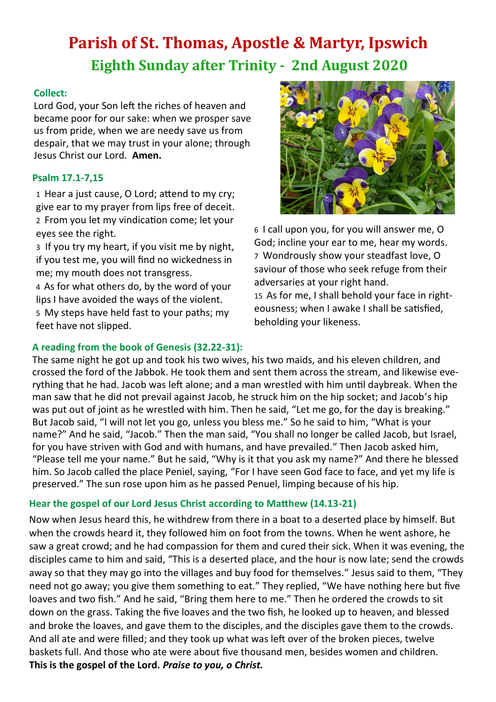# **Parish of St. Thomas, Apostle & Martyr, Ipswich Eighth Sunday after Trinity - 2nd August 2020**

#### **Collect:**

Lord God, your Son left the riches of heaven and became poor for our sake: when we prosper save us from pride, when we are needy save us from despair, that we may trust in your alone; through Jesus Christ our Lord. **Amen.**

## **Psalm 17.1-7,15**

1 Hear a just cause, O Lord; attend to my cry; give ear to my prayer from lips free of deceit. 2 From you let my vindication come; let your eyes see the right.

3 If you try my heart, if you visit me by night, if you test me, you will find no wickedness in me; my mouth does not transgress.

4 As for what others do, by the word of your lips I have avoided the ways of the violent.

5 My steps have held fast to your paths; my feet have not slipped.



6 I call upon you, for you will answer me, O God; incline your ear to me, hear my words. 7 Wondrously show your steadfast love, O saviour of those who seek refuge from their adversaries at your right hand. 15 As for me, I shall behold your face in righteousness; when I awake I shall be satisfied, beholding your likeness.

## **A reading from the book of Genesis (32.22-31):**

The same night he got up and took his two wives, his two maids, and his eleven children, and crossed the ford of the Jabbok. He took them and sent them across the stream, and likewise everything that he had. Jacob was left alone; and a man wrestled with him until daybreak. When the man saw that he did not prevail against Jacob, he struck him on the hip socket; and Jacob's hip was put out of joint as he wrestled with him. Then he said, "Let me go, for the day is breaking." But Jacob said, "I will not let you go, unless you bless me." So he said to him, "What is your name?" And he said, "Jacob." Then the man said, "You shall no longer be called Jacob, but Israel, for you have striven with God and with humans, and have prevailed." Then Jacob asked him, "Please tell me your name." But he said, "Why is it that you ask my name?" And there he blessed him. So Jacob called the place Peniel, saying, "For I have seen God face to face, and yet my life is preserved." The sun rose upon him as he passed Penuel, limping because of his hip.

## **Hear the gospel of our Lord Jesus Christ according to Matthew (14.13-21)**

Now when Jesus heard this, he withdrew from there in a boat to a deserted place by himself. But when the crowds heard it, they followed him on foot from the towns. When he went ashore, he saw a great crowd; and he had compassion for them and cured their sick. When it was evening, the disciples came to him and said, "This is a deserted place, and the hour is now late; send the crowds away so that they may go into the villages and buy food for themselves." Jesus said to them, "They need not go away; you give them something to eat." They replied, "We have nothing here but five loaves and two fish." And he said, "Bring them here to me." Then he ordered the crowds to sit down on the grass. Taking the five loaves and the two fish, he looked up to heaven, and blessed and broke the loaves, and gave them to the disciples, and the disciples gave them to the crowds. And all ate and were filled; and they took up what was left over of the broken pieces, twelve baskets full. And those who ate were about five thousand men, besides women and children. **This is the gospel of the Lord.** *Praise to you, o Christ.*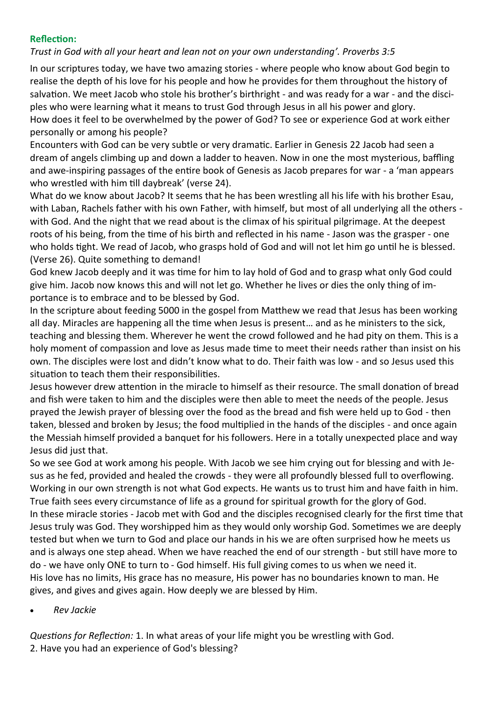#### **Reflection:**

*Trust in God with all your heart and lean not on your own understanding'. Proverbs 3:5*

In our scriptures today, we have two amazing stories - where people who know about God begin to realise the depth of his love for his people and how he provides for them throughout the history of salvation. We meet Jacob who stole his brother's birthright - and was ready for a war - and the disciples who were learning what it means to trust God through Jesus in all his power and glory. How does it feel to be overwhelmed by the power of God? To see or experience God at work either personally or among his people?

Encounters with God can be very subtle or very dramatic. Earlier in Genesis 22 Jacob had seen a dream of angels climbing up and down a ladder to heaven. Now in one the most mysterious, baffling and awe-inspiring passages of the entire book of Genesis as Jacob prepares for war - a 'man appears who wrestled with him till daybreak' (verse 24).

What do we know about Jacob? It seems that he has been wrestling all his life with his brother Esau, with Laban, Rachels father with his own Father, with himself, but most of all underlying all the others with God. And the night that we read about is the climax of his spiritual pilgrimage. At the deepest roots of his being, from the time of his birth and reflected in his name - Jason was the grasper - one who holds tight. We read of Jacob, who grasps hold of God and will not let him go until he is blessed. (Verse 26). Quite something to demand!

God knew Jacob deeply and it was time for him to lay hold of God and to grasp what only God could give him. Jacob now knows this and will not let go. Whether he lives or dies the only thing of importance is to embrace and to be blessed by God.

In the scripture about feeding 5000 in the gospel from Matthew we read that Jesus has been working all day. Miracles are happening all the time when Jesus is present… and as he ministers to the sick, teaching and blessing them. Wherever he went the crowd followed and he had pity on them. This is a holy moment of compassion and love as Jesus made time to meet their needs rather than insist on his own. The disciples were lost and didn't know what to do. Their faith was low - and so Jesus used this situation to teach them their responsibilities.

Jesus however drew attention in the miracle to himself as their resource. The small donation of bread and fish were taken to him and the disciples were then able to meet the needs of the people. Jesus prayed the Jewish prayer of blessing over the food as the bread and fish were held up to God - then taken, blessed and broken by Jesus; the food multiplied in the hands of the disciples - and once again the Messiah himself provided a banquet for his followers. Here in a totally unexpected place and way Jesus did just that.

So we see God at work among his people. With Jacob we see him crying out for blessing and with Jesus as he fed, provided and healed the crowds - they were all profoundly blessed full to overflowing. Working in our own strength is not what God expects. He wants us to trust him and have faith in him. True faith sees every circumstance of life as a ground for spiritual growth for the glory of God. In these miracle stories - Jacob met with God and the disciples recognised clearly for the first time that Jesus truly was God. They worshipped him as they would only worship God. Sometimes we are deeply tested but when we turn to God and place our hands in his we are often surprised how he meets us and is always one step ahead. When we have reached the end of our strength - but still have more to do - we have only ONE to turn to - God himself. His full giving comes to us when we need it. His love has no limits, His grace has no measure, His power has no boundaries known to man. He gives, and gives and gives again. How deeply we are blessed by Him.

• *Rev Jackie*

*Questions for Reflection:* 1. In what areas of your life might you be wrestling with God. 2. Have you had an experience of God's blessing?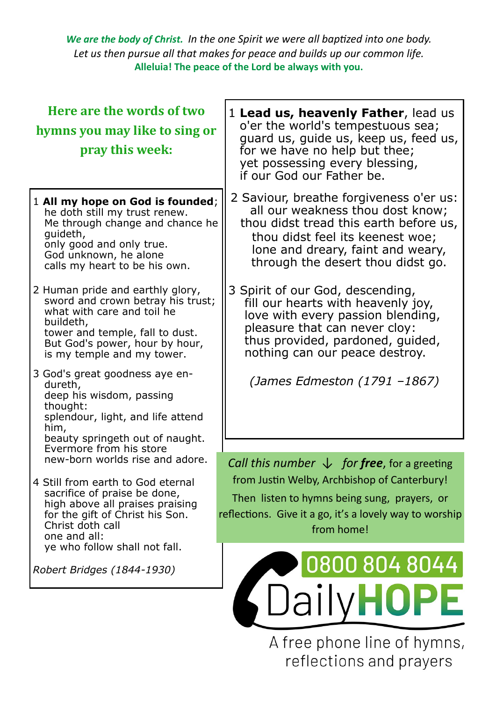*We are the body of Christ. In the one Spirit we were all baptized into one body. Let us then pursue all that makes for peace and builds up our common life.*  **Alleluia! The peace of the Lord be always with you.**

| Here are the words of two<br>hymns you may like to sing or<br>pray this week:                                                                                                                                       | 1 Lead us, heavenly Father, lead us<br>o'er the world's tempestuous sea;<br>guard us, guide us, keep us, feed us,<br>for we have no help but thee;<br>yet possessing every blessing,<br>if our God our Father be.                   |
|---------------------------------------------------------------------------------------------------------------------------------------------------------------------------------------------------------------------|-------------------------------------------------------------------------------------------------------------------------------------------------------------------------------------------------------------------------------------|
| 1 All my hope on God is founded;<br>he doth still my trust renew.<br>Me through change and chance he<br>quideth,<br>only good and only true.<br>God unknown, he alone<br>calls my heart to be his own.              | 2 Saviour, breathe forgiveness o'er us:<br>all our weakness thou dost know;<br>thou didst tread this earth before us,<br>thou didst feel its keenest woe;<br>lone and dreary, faint and weary,<br>through the desert thou didst go. |
| 2 Human pride and earthly glory,<br>sword and crown betray his trust;<br>what with care and toil he<br>buildeth,<br>tower and temple, fall to dust.<br>But God's power, hour by hour,<br>is my temple and my tower. | 3 Spirit of our God, descending,<br>fill our hearts with heavenly joy,<br>love with every passion blending,<br>pleasure that can never cloy:<br>thus provided, pardoned, guided,<br>nothing can our peace destroy.                  |
| 3 God's great goodness aye en-<br>dureth,<br>deep his wisdom, passing<br>thought:<br>splendour, light, and life attend<br>him,<br>beauty springeth out of naught.<br>Evermore from his store                        | (James Edmeston (1791 -1867)                                                                                                                                                                                                        |
| new-born worlds rise and adore.<br>4 Still from earth to God eternal<br>sacrifice of praise be done,<br>high above all praises praising<br>for the gift of Christ his Son.<br>Christ doth call<br>one and all:      | Call this number $\downarrow$ for free, for a greeting<br>from Justin Welby, Archbishop of Canterbury!<br>Then listen to hymns being sung, prayers, or<br>reflections. Give it a go, it's a lovely way to worship<br>from home!     |
| ye who follow shall not fall.<br>Robert Bridges (1844-1930)                                                                                                                                                         | 0800 804 8044<br>SDailyHOPE                                                                                                                                                                                                         |

A free phone line of hymns, reflections and prayers